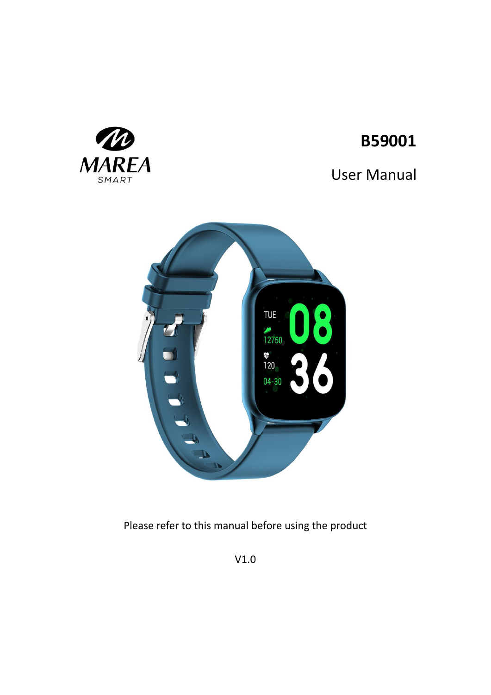

# User Manual



W

**MAREA** SMART

Please refer to this manual before using the product

V1.0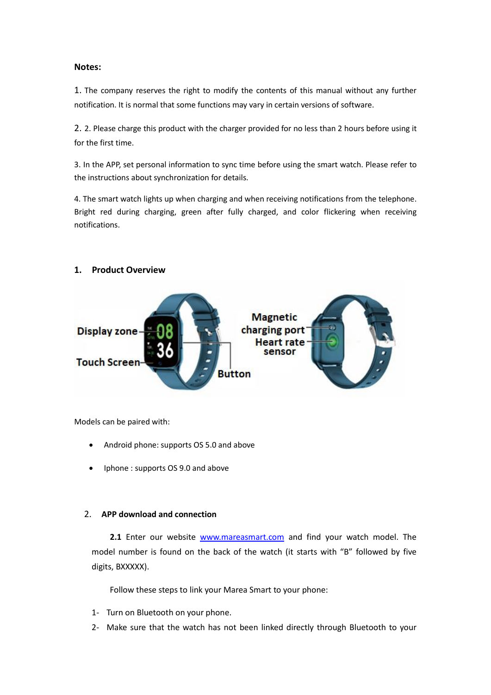# **Notes:**

1. The company reserves the right to modify the contents of this manual without any further notification. It is normal that some functions may vary in certain versions of software.

2. 2. Please charge this product with the charger provided for no less than 2 hours before using it for the first time.

3. In the APP, set personal information to sync time before using the smart watch. Please refer to the instructions about synchronization for details.

4. The smart watch lights up when charging and when receiving notifications from the telephone. Bright red during charging, green after fully charged, and color flickering when receiving notifications.



# **1. Product Overview**

Models can be paired with:

- Android phone: supports OS 5.0 and above
- Iphone : supports OS 9.0 and above

# 2. **APP download and connection**

2.1 Enter our website [www.mareasmart.com](http://www.mareasmart.com/) and find your watch model. The model number is found on the back of the watch (it starts with "B" followed by five digits, BXXXXX).

Follow these steps to link your Marea Smart to your phone:

- 1- Turn on Bluetooth on your phone.
- 2- Make sure that the watch has not been linked directly through Bluetooth to your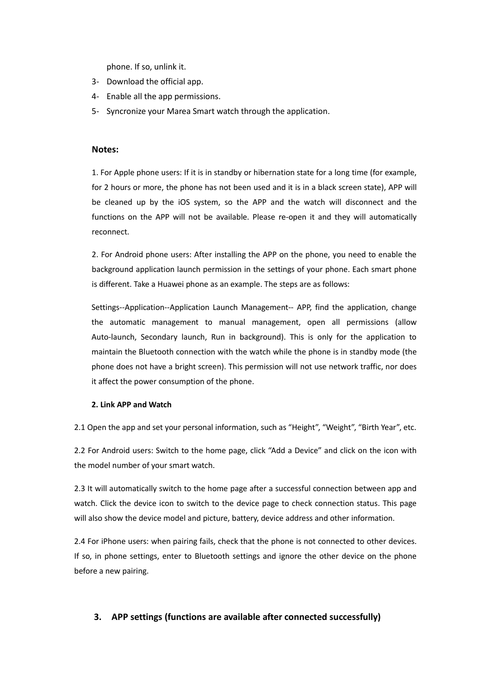phone. If so, unlink it.

- 3- Download the official app.
- 4- Enable all the app permissions.
- 5- Syncronize your Marea Smart watch through the application.

# **Notes:**

1. For Apple phone users: If it is in standby or hibernation state for a long time (for example, for 2 hours or more, the phone has not been used and it is in a black screen state), APP will be cleaned up by the iOS system, so the APP and the watch will disconnect and the functions on the APP will not be available. Please re-open it and they will automatically reconnect.

2. For Android phone users: After installing the APP on the phone, you need to enable the background application launch permission in the settings of your phone. Each smart phone is different. Take a Huawei phone as an example. The steps are as follows:

Settings--Application--Application Launch Management-- APP, find the application, change the automatic management to manual management, open all permissions (allow Auto-launch, Secondary launch, Run in background). This is only for the application to maintain the Bluetooth connection with the watch while the phone is in standby mode (the phone does not have a bright screen). This permission will not use network traffic, nor does it affect the power consumption of the phone.

# **2. Link APP and Watch**

2.1 Open the app and set your personal information, such as "Height", "Weight", "Birth Year", etc.

2.2 For Android users: Switch to the home page, click "Add a Device" and click on the icon with the model number of your smart watch.

2.3 It will automatically switch to the home page after a successful connection between app and watch. Click the device icon to switch to the device page to check connection status. This page will also show the device model and picture, battery, device address and other information.

2.4 For iPhone users: when pairing fails, check that the phone is not connected to other devices. If so, in phone settings, enter to Bluetooth settings and ignore the other device on the phone before a new pairing.

# **3. APP settings (functions are available after connected successfully)**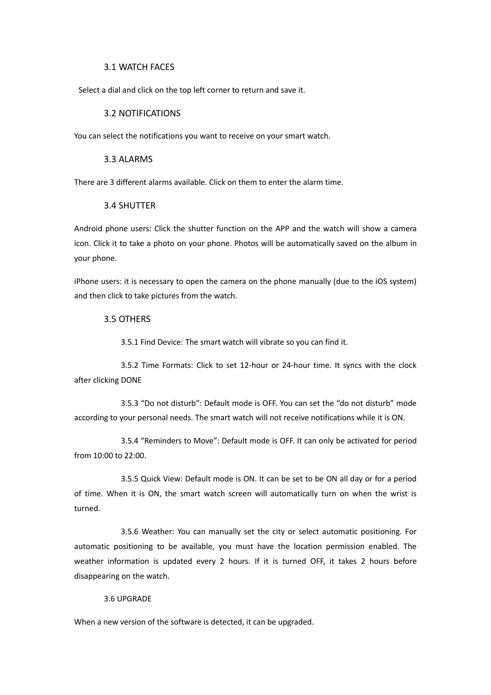## 3.1 WATCH FACES

Select a dial and click on the top left corner to return and save it.

# 3.2 NOTIFICATIONS

You can select the notifications you want to receive on your smart watch.

# 3.3 ALARMS

There are 3 different alarms available. Click on them to enter the alarm time.

# 3.4 SHUTTER

Android phone users: Click the shutter function on the APP and the watch will show a camera icon. Click it to take a photo on your phone. Photos will be automatically saved on the album in your phone.

iPhone users: it is necessary to open the camera on the phone manually (due to the iOS system) and then click to take pictures from the watch.

#### 3.5 OTHERS

3.5.1 Find Device: The smart watch will vibrate so you can find it.

3.5.2 Time Formats: Click to set 12-hour or 24-hour time. It syncs with the clock after clicking DONE

3.5.3 "Do not disturb": Default mode is OFF. You can set the "do not disturb" mode according to your personal needs. The smart watch will not receive notifications while it is ON.

3.5.4 "Reminders to Move": Default mode is OFF. It can only be activated for period from 10:00 to 22:00.

3.5.5 Quick View: Default mode is ON. It can be set to be ON all day or for a period of time. When it is ON, the smart watch screen will automatically turn on when the wrist is turned.

3.5.6 Weather: You can manually set the city or select automatic positioning. For automatic positioning to be available, you must have the location permission enabled. The weather information is updated every 2 hours. If it is turned OFF, it takes 2 hours before disappearing on the watch.

#### 3.6 UPGRADE

When a new version of the software is detected, it can be upgraded.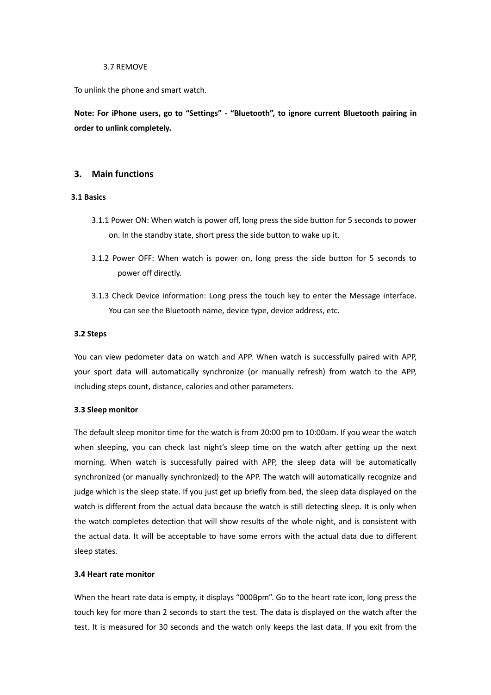#### 3.7 REMOVE

To unlink the phone and smart watch.

**Note: For iPhone users, go to "Settings" - "Bluetooth", to ignore current Bluetooth pairing in order to unlink completely.**

# **3. Main functions**

# **3.1 Basics**

- 3.1.1 Power ON: When watch is power off, long press the side button for 5 seconds to power on. In the standby state, short press the side button to wake up it.
- 3.1.2 Power OFF: When watch is power on, long press the side button for 5 seconds to power off directly.
- 3.1.3 Check Device information: Long press the touch key to enter the Message interface. You can see the Bluetooth name, device type, device address, etc.

#### **3.2 Steps**

You can view pedometer data on watch and APP. When watch is successfully paired with APP, your sport data will automatically synchronize (or manually refresh) from watch to the APP, including steps count, distance, calories and other parameters.

#### **3.3 Sleep monitor**

The default sleep monitor time for the watch is from 20:00 pm to 10:00am. If you wear the watch when sleeping, you can check last night's sleep time on the watch after getting up the next morning. When watch is successfully paired with APP, the sleep data will be automatically synchronized (or manually synchronized) to the APP. The watch will automatically recognize and judge which is the sleep state. If you just get up briefly from bed, the sleep data displayed on the watch is different from the actual data because the watch is still detecting sleep. It is only when the watch completes detection that will show results of the whole night, and is consistent with the actual data. It will be acceptable to have some errors with the actual data due to different sleep states.

#### **3.4 Heart rate monitor**

When the heart rate data is empty, it displays "000Bpm". Go to the heart rate icon, long press the touch key for more than 2 seconds to start the test. The data is displayed on the watch after the test. It is measured for 30 seconds and the watch only keeps the last data. If you exit from the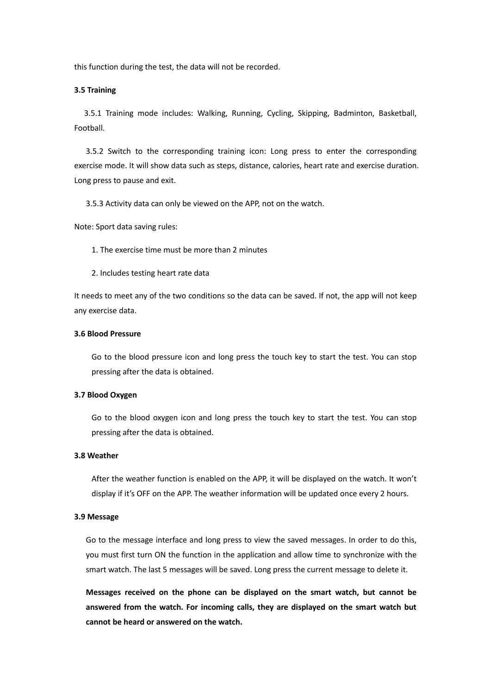this function during the test, the data will not be recorded.

#### **3.5 Training**

3.5.1 Training mode includes: Walking, Running, Cycling, Skipping, Badminton, Basketball, Football.

3.5.2 Switch to the corresponding training icon: Long press to enter the corresponding exercise mode. It will show data such as steps, distance, calories, heart rate and exercise duration. Long press to pause and exit.

3.5.3 Activity data can only be viewed on the APP, not on the watch.

Note: Sport data saving rules:

1. The exercise time must be more than 2 minutes

2. Includes testing heart rate data

It needs to meet any of the two conditions so the data can be saved. If not, the app will not keep any exercise data.

#### **3.6 Blood Pressure**

Go to the blood pressure icon and long press the touch key to start the test. You can stop pressing after the data is obtained.

# **3.7 Blood Oxygen**

Go to the blood oxygen icon and long press the touch key to start the test. You can stop pressing after the data is obtained.

# **3.8 Weather**

After the weather function is enabled on the APP, it will be displayed on the watch. It won't display if it's OFF on the APP. The weather information will be updated once every 2 hours.

#### **3.9 Message**

Go to the message interface and long press to view the saved messages. In order to do this, you must first turn ON the function in the application and allow time to synchronize with the smart watch. The last 5 messages will be saved. Long press the current message to delete it.

**Messages received on the phone can be displayed on the smart watch, but cannot be answered from the watch. For incoming calls, they are displayed on the smart watch but cannot be heard or answered on the watch.**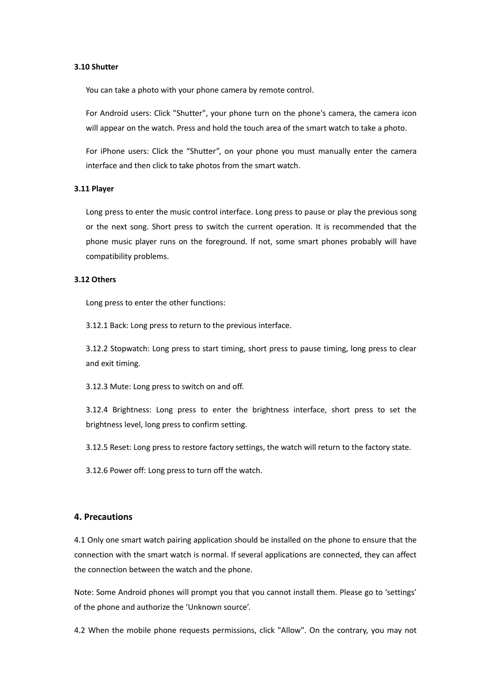#### **3.10 Shutter**

You can take a photo with your phone camera by remote control.

For Android users: Click "Shutter", your phone turn on the phone's camera, the camera icon will appear on the watch. Press and hold the touch area of the smart watch to take a photo.

For iPhone users: Click the "Shutter", on your phone you must manually enter the camera interface and then click to take photos from the smart watch.

#### **3.11 Player**

Long press to enter the music control interface. Long press to pause or play the previous song or the next song. Short press to switch the current operation. It is recommended that the phone music player runs on the foreground. If not, some smart phones probably will have compatibility problems.

# **3.12 Others**

Long press to enter the other functions:

3.12.1 Back: Long press to return to the previous interface.

3.12.2 Stopwatch: Long press to start timing, short press to pause timing, long press to clear and exit timing.

3.12.3 Mute: Long press to switch on and off.

3.12.4 Brightness: Long press to enter the brightness interface, short press to set the brightness level, long press to confirm setting.

3.12.5 Reset: Long press to restore factory settings, the watch will return to the factory state.

3.12.6 Power off: Long press to turn off the watch.

## **4. Precautions**

4.1 Only one smart watch pairing application should be installed on the phone to ensure that the connection with the smart watch is normal. If several applications are connected, they can affect the connection between the watch and the phone.

Note: Some Android phones will prompt you that you cannot install them. Please go to 'settings' of the phone and authorize the 'Unknown source'.

4.2 When the mobile phone requests permissions, click "Allow". On the contrary, you may not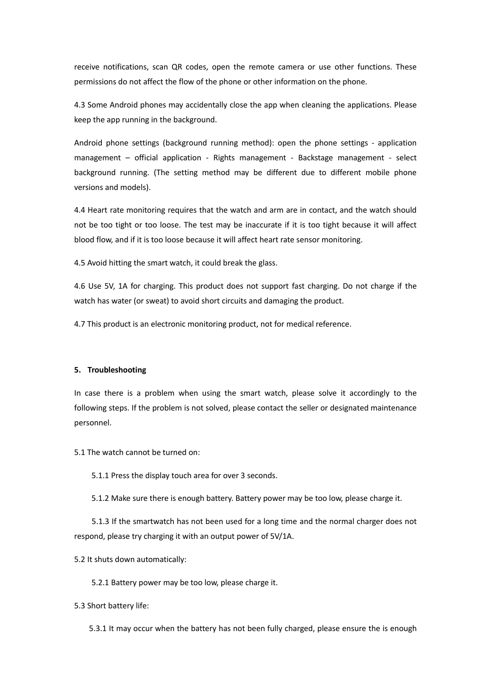receive notifications, scan QR codes, open the remote camera or use other functions. These permissions do not affect the flow of the phone or other information on the phone.

4.3 Some Android phones may accidentally close the app when cleaning the applications. Please keep the app running in the background.

Android phone settings (background running method): open the phone settings - application management – official application - Rights management - Backstage management - select background running. (The setting method may be different due to different mobile phone versions and models).

4.4 Heart rate monitoring requires that the watch and arm are in contact, and the watch should not be too tight or too loose. The test may be inaccurate if it is too tight because it will affect blood flow, and if it is too loose because it will affect heart rate sensor monitoring.

4.5 Avoid hitting the smart watch, it could break the glass.

4.6 Use 5V, 1A for charging. This product does not support fast charging. Do not charge if the watch has water (or sweat) to avoid short circuits and damaging the product.

4.7 This product is an electronic monitoring product, not for medical reference.

#### **5. Troubleshooting**

In case there is a problem when using the smart watch, please solve it accordingly to the following steps. If the problem is not solved, please contact the seller or designated maintenance personnel.

5.1 The watch cannot be turned on:

5.1.1 Press the display touch area for over 3 seconds.

5.1.2 Make sure there is enough battery. Battery power may be too low, please charge it.

5.1.3 If the smartwatch has not been used for a long time and the normal charger does not respond, please try charging it with an output power of 5V/1A.

5.2 It shuts down automatically:

5.2.1 Battery power may be too low, please charge it.

5.3 Short battery life:

5.3.1 It may occur when the battery has not been fully charged, please ensure the is enough